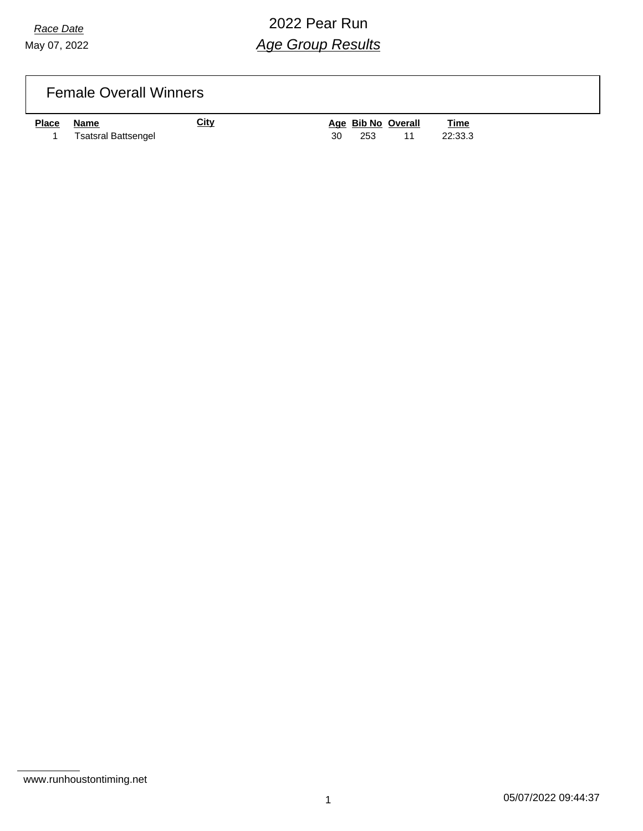# *Race Date* 2022 Pear Run *Age Group Results*

Female Overall Winners

**Place Name City Age Bib No Overall Time** 1 Tsatsral Battsengel 30 253 11 22:33.3

www.runhoustontiming.net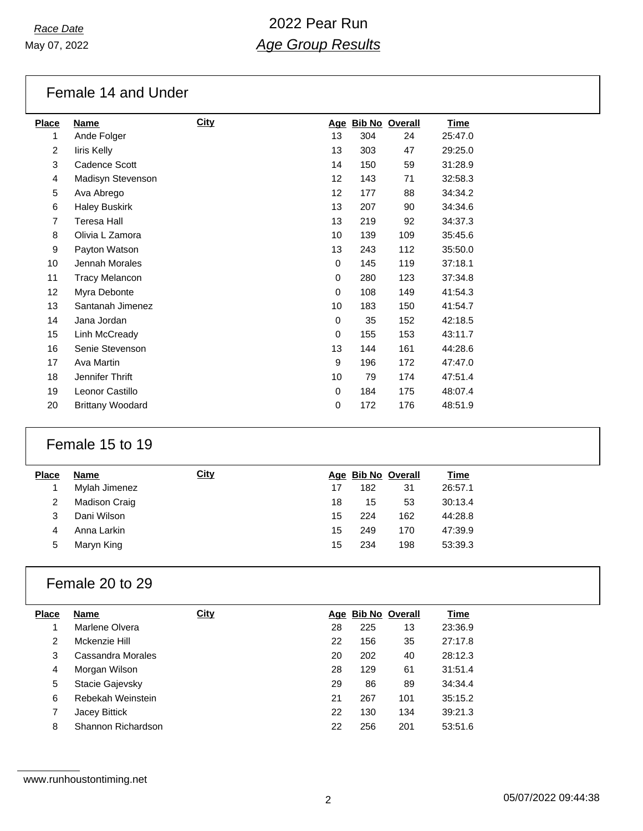#### Female 14 and Under

| <b>Place</b>   | <b>Name</b>             | <b>City</b> |    |     | Age Bib No Overall | <b>Time</b> |
|----------------|-------------------------|-------------|----|-----|--------------------|-------------|
| 1              | Ande Folger             |             | 13 | 304 | 24                 | 25:47.0     |
| $\overline{2}$ | liris Kelly             |             | 13 | 303 | 47                 | 29:25.0     |
| 3              | Cadence Scott           |             | 14 | 150 | 59                 | 31:28.9     |
| 4              | Madisyn Stevenson       |             | 12 | 143 | 71                 | 32:58.3     |
| 5              | Ava Abrego              |             | 12 | 177 | 88                 | 34:34.2     |
| 6              | <b>Haley Buskirk</b>    |             | 13 | 207 | 90                 | 34:34.6     |
| $\overline{7}$ | <b>Teresa Hall</b>      |             | 13 | 219 | 92                 | 34:37.3     |
| 8              | Olivia L Zamora         |             | 10 | 139 | 109                | 35:45.6     |
| 9              | Payton Watson           |             | 13 | 243 | 112                | 35:50.0     |
| 10             | Jennah Morales          |             | 0  | 145 | 119                | 37:18.1     |
| 11             | <b>Tracy Melancon</b>   |             | 0  | 280 | 123                | 37:34.8     |
| 12             | Myra Debonte            |             | 0  | 108 | 149                | 41:54.3     |
| 13             | Santanah Jimenez        |             | 10 | 183 | 150                | 41:54.7     |
| 14             | Jana Jordan             |             | 0  | 35  | 152                | 42:18.5     |
| 15             | Linh McCready           |             | 0  | 155 | 153                | 43:11.7     |
| 16             | Senie Stevenson         |             | 13 | 144 | 161                | 44:28.6     |
| 17             | Ava Martin              |             | 9  | 196 | 172                | 47:47.0     |
| 18             | Jennifer Thrift         |             | 10 | 79  | 174                | 47:51.4     |
| 19             | Leonor Castillo         |             | 0  | 184 | 175                | 48:07.4     |
| 20             | <b>Brittany Woodard</b> |             | 0  | 172 | 176                | 48:51.9     |

#### Female 15 to 19

| Place | Name                 | <u>City</u> |    |     | Age Bib No Overall | <b>Time</b> |
|-------|----------------------|-------------|----|-----|--------------------|-------------|
|       | Mylah Jimenez        |             | 17 | 182 | 31                 | 26:57.1     |
|       | <b>Madison Craig</b> |             | 18 | 15  | 53                 | 30:13.4     |
|       | Dani Wilson          |             | 15 | 224 | 162                | 44:28.8     |
| 4     | Anna Larkin          |             | 15 | 249 | 170                | 47:39.9     |
| 5     | Maryn King           |             | 15 | 234 | 198                | 53:39.3     |
|       |                      |             |    |     |                    |             |

#### Female 20 to 29

| <b>Place</b> | <b>Name</b>          | <u>City</u> |    | Age Bib No Overall |     | Time    |
|--------------|----------------------|-------------|----|--------------------|-----|---------|
|              | Marlene Olvera       |             | 28 | 225                | 13  | 23:36.9 |
| 2            | Mckenzie Hill        |             | 22 | 156                | 35  | 27:17.8 |
| 3            | Cassandra Morales    |             | 20 | 202                | 40  | 28:12.3 |
| 4            | Morgan Wilson        |             | 28 | 129                | 61  | 31:51.4 |
| 5            | Stacie Gajevsky      |             | 29 | 86                 | 89  | 34:34.4 |
| 6            | Rebekah Weinstein    |             | 21 | 267                | 101 | 35:15.2 |
|              | <b>Jacey Bittick</b> |             | 22 | 130                | 134 | 39:21.3 |
| 8            | Shannon Richardson   |             | 22 | 256                | 201 | 53:51.6 |

www.runhoustontiming.net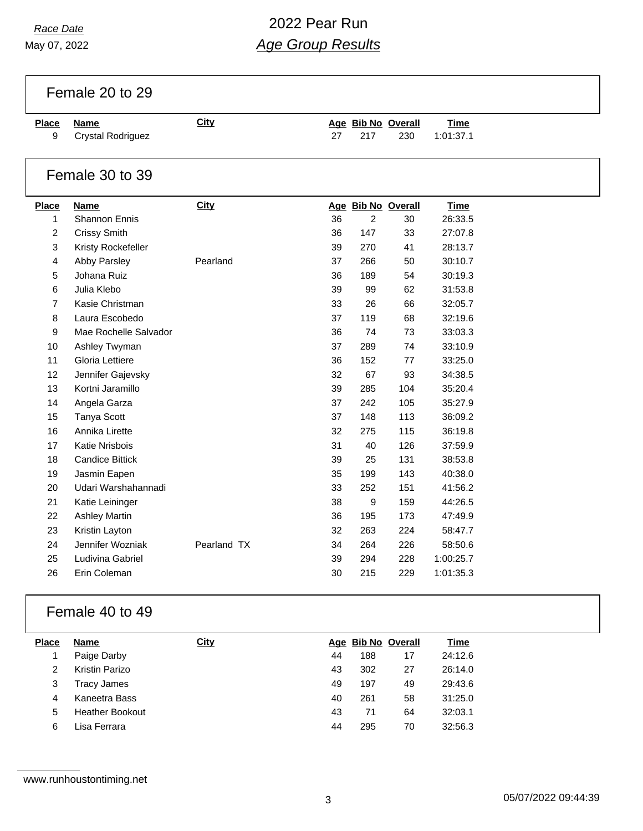### *Race Date* 2022 Pear Run *Age Group Results*

Female 20 to 29

**Place Name City Age Bib No Overall Time**

Crystal Rodriguez 27 217 230 1:01:37.1

#### Female 30 to 39

| <b>Place</b>   | Name                   | <b>City</b> |    |                | Age Bib No Overall | <b>Time</b> |
|----------------|------------------------|-------------|----|----------------|--------------------|-------------|
| 1              | <b>Shannon Ennis</b>   |             | 36 | $\overline{2}$ | 30                 | 26:33.5     |
| $\overline{2}$ | Crissy Smith           |             | 36 | 147            | 33                 | 27:07.8     |
| 3              | Kristy Rockefeller     |             | 39 | 270            | 41                 | 28:13.7     |
| 4              | Abby Parsley           | Pearland    | 37 | 266            | 50                 | 30:10.7     |
| 5              | Johana Ruiz            |             | 36 | 189            | 54                 | 30:19.3     |
| 6              | Julia Klebo            |             | 39 | 99             | 62                 | 31:53.8     |
| $\overline{7}$ | Kasie Christman        |             | 33 | 26             | 66                 | 32:05.7     |
| 8              | Laura Escobedo         |             | 37 | 119            | 68                 | 32:19.6     |
| 9              | Mae Rochelle Salvador  |             | 36 | 74             | 73                 | 33:03.3     |
| 10             | Ashley Twyman          |             | 37 | 289            | 74                 | 33:10.9     |
| 11             | Gloria Lettiere        |             | 36 | 152            | 77                 | 33:25.0     |
| 12             | Jennifer Gajevsky      |             | 32 | 67             | 93                 | 34:38.5     |
| 13             | Kortni Jaramillo       |             | 39 | 285            | 104                | 35:20.4     |
| 14             | Angela Garza           |             | 37 | 242            | 105                | 35:27.9     |
| 15             | <b>Tanya Scott</b>     |             | 37 | 148            | 113                | 36:09.2     |
| 16             | Annika Lirette         |             | 32 | 275            | 115                | 36:19.8     |
| 17             | <b>Katie Nrisbois</b>  |             | 31 | 40             | 126                | 37:59.9     |
| 18             | <b>Candice Bittick</b> |             | 39 | 25             | 131                | 38:53.8     |
| 19             | Jasmin Eapen           |             | 35 | 199            | 143                | 40:38.0     |
| 20             | Udari Warshahannadi    |             | 33 | 252            | 151                | 41:56.2     |
| 21             | Katie Leininger        |             | 38 | 9              | 159                | 44:26.5     |
| 22             | <b>Ashley Martin</b>   |             | 36 | 195            | 173                | 47:49.9     |
| 23             | Kristin Layton         |             | 32 | 263            | 224                | 58:47.7     |
| 24             | Jennifer Wozniak       | Pearland TX | 34 | 264            | 226                | 58:50.6     |
| 25             | Ludivina Gabriel       |             | 39 | 294            | 228                | 1:00:25.7   |
| 26             | Erin Coleman           |             | 30 | 215            | 229                | 1:01:35.3   |
|                |                        |             |    |                |                    |             |

#### Female 40 to 49

| <b>Place</b> | Name                   | <b>City</b> |    |     | Age Bib No Overall | <b>Time</b> |
|--------------|------------------------|-------------|----|-----|--------------------|-------------|
|              | Paige Darby            |             | 44 | 188 | 17                 | 24:12.6     |
| 2            | Kristin Parizo         |             | 43 | 302 | 27                 | 26:14.0     |
| 3            | Tracy James            |             | 49 | 197 | 49                 | 29:43.6     |
| 4            | Kaneetra Bass          |             | 40 | 261 | 58                 | 31:25.0     |
| 5            | <b>Heather Bookout</b> |             | 43 | 71  | 64                 | 32:03.1     |
| 6            | Lisa Ferrara           |             | 44 | 295 | 70                 | 32:56.3     |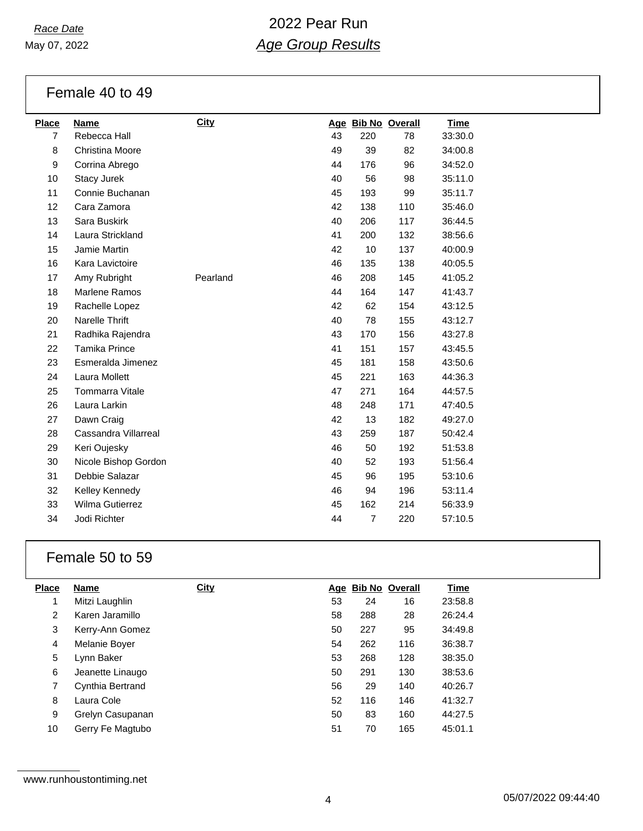May 07, 2022

Female 40 to 49

| <b>Place</b>   | <b>Name</b>            | <b>City</b> |    | Age Bib No Overall |     | <b>Time</b> |
|----------------|------------------------|-------------|----|--------------------|-----|-------------|
| $\overline{7}$ | Rebecca Hall           |             | 43 | 220                | 78  | 33:30.0     |
| 8              | Christina Moore        |             | 49 | 39                 | 82  | 34:00.8     |
| 9              | Corrina Abrego         |             | 44 | 176                | 96  | 34:52.0     |
| 10             | <b>Stacy Jurek</b>     |             | 40 | 56                 | 98  | 35:11.0     |
| 11             | Connie Buchanan        |             | 45 | 193                | 99  | 35:11.7     |
| 12             | Cara Zamora            |             | 42 | 138                | 110 | 35:46.0     |
| 13             | Sara Buskirk           |             | 40 | 206                | 117 | 36:44.5     |
| 14             | Laura Strickland       |             | 41 | 200                | 132 | 38:56.6     |
| 15             | Jamie Martin           |             | 42 | 10                 | 137 | 40:00.9     |
| 16             | Kara Lavictoire        |             | 46 | 135                | 138 | 40:05.5     |
| 17             | Amy Rubright           | Pearland    | 46 | 208                | 145 | 41:05.2     |
| 18             | <b>Marlene Ramos</b>   |             | 44 | 164                | 147 | 41:43.7     |
| 19             | Rachelle Lopez         |             | 42 | 62                 | 154 | 43:12.5     |
| 20             | Narelle Thrift         |             | 40 | 78                 | 155 | 43:12.7     |
| 21             | Radhika Rajendra       |             | 43 | 170                | 156 | 43:27.8     |
| 22             | <b>Tamika Prince</b>   |             | 41 | 151                | 157 | 43:45.5     |
| 23             | Esmeralda Jimenez      |             | 45 | 181                | 158 | 43:50.6     |
| 24             | Laura Mollett          |             | 45 | 221                | 163 | 44:36.3     |
| 25             | <b>Tommarra Vitale</b> |             | 47 | 271                | 164 | 44:57.5     |
| 26             | Laura Larkin           |             | 48 | 248                | 171 | 47:40.5     |
| 27             | Dawn Craig             |             | 42 | 13                 | 182 | 49:27.0     |
| 28             | Cassandra Villarreal   |             | 43 | 259                | 187 | 50:42.4     |
| 29             | Keri Oujesky           |             | 46 | 50                 | 192 | 51:53.8     |
| 30             | Nicole Bishop Gordon   |             | 40 | 52                 | 193 | 51:56.4     |
| 31             | Debbie Salazar         |             | 45 | 96                 | 195 | 53:10.6     |
| 32             | Kelley Kennedy         |             | 46 | 94                 | 196 | 53:11.4     |
| 33             | <b>Wilma Gutierrez</b> |             | 45 | 162                | 214 | 56:33.9     |
| 34             | Jodi Richter           |             | 44 | $\overline{7}$     | 220 | 57:10.5     |

### Female 50 to 59

| <b>Place</b> | <b>Name</b>      | <b>City</b> |    |     | Age Bib No Overall | <b>Time</b> |
|--------------|------------------|-------------|----|-----|--------------------|-------------|
| 1            | Mitzi Laughlin   |             | 53 | 24  | 16                 | 23:58.8     |
| 2            | Karen Jaramillo  |             | 58 | 288 | 28                 | 26:24.4     |
| 3            | Kerry-Ann Gomez  |             | 50 | 227 | 95                 | 34:49.8     |
| 4            | Melanie Boyer    |             | 54 | 262 | 116                | 36:38.7     |
| 5            | Lynn Baker       |             | 53 | 268 | 128                | 38:35.0     |
| 6            | Jeanette Linaugo |             | 50 | 291 | 130                | 38:53.6     |
| 7            | Cynthia Bertrand |             | 56 | 29  | 140                | 40:26.7     |
| 8            | Laura Cole       |             | 52 | 116 | 146                | 41:32.7     |
| 9            | Grelyn Casupanan |             | 50 | 83  | 160                | 44:27.5     |
| 10           | Gerry Fe Magtubo |             | 51 | 70  | 165                | 45:01.1     |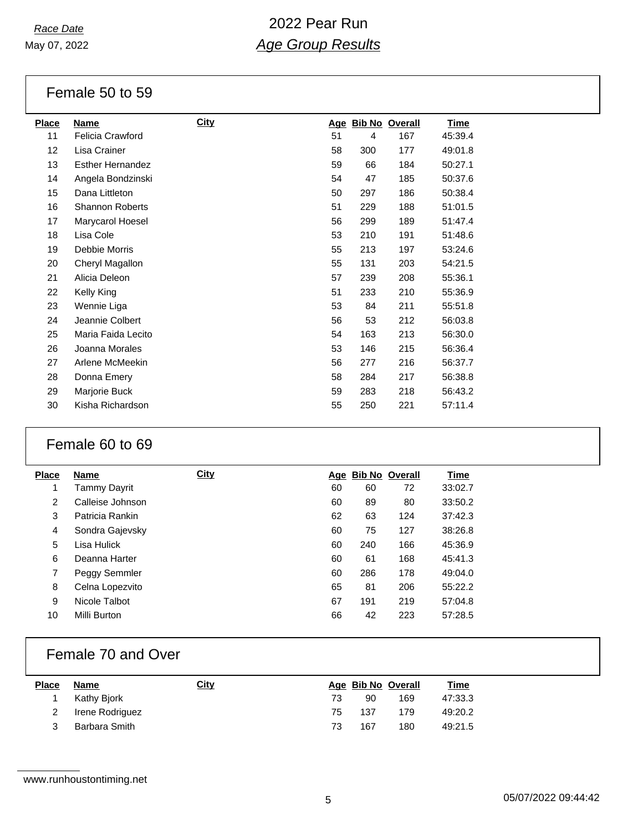May 07, 2022

Female 50 to 59

| <b>Place</b>    | <b>Name</b>             | <b>City</b> | Age |     | <b>Bib No Overall</b> | Time    |
|-----------------|-------------------------|-------------|-----|-----|-----------------------|---------|
| 11              | Felicia Crawford        |             | 51  | 4   | 167                   | 45:39.4 |
| 12 <sup>2</sup> | Lisa Crainer            |             | 58  | 300 | 177                   | 49:01.8 |
| 13              | <b>Esther Hernandez</b> |             | 59  | 66  | 184                   | 50:27.1 |
| 14              | Angela Bondzinski       |             | 54  | 47  | 185                   | 50:37.6 |
| 15              | Dana Littleton          |             | 50  | 297 | 186                   | 50:38.4 |
| 16              | <b>Shannon Roberts</b>  |             | 51  | 229 | 188                   | 51:01.5 |
| 17              | Marycarol Hoesel        |             | 56  | 299 | 189                   | 51:47.4 |
| 18              | Lisa Cole               |             | 53  | 210 | 191                   | 51:48.6 |
| 19              | Debbie Morris           |             | 55  | 213 | 197                   | 53:24.6 |
| 20              | Cheryl Magallon         |             | 55  | 131 | 203                   | 54:21.5 |
| 21              | Alicia Deleon           |             | 57  | 239 | 208                   | 55:36.1 |
| 22              | Kelly King              |             | 51  | 233 | 210                   | 55:36.9 |
| 23              | Wennie Liga             |             | 53  | 84  | 211                   | 55:51.8 |
| 24              | Jeannie Colbert         |             | 56  | 53  | 212                   | 56:03.8 |
| 25              | Maria Faida Lecito      |             | 54  | 163 | 213                   | 56:30.0 |
| 26              | Joanna Morales          |             | 53  | 146 | 215                   | 56:36.4 |
| 27              | Arlene McMeekin         |             | 56  | 277 | 216                   | 56:37.7 |
| 28              | Donna Emery             |             | 58  | 284 | 217                   | 56:38.8 |
| 29              | Marjorie Buck           |             | 59  | 283 | 218                   | 56:43.2 |
| 30              | Kisha Richardson        |             | 55  | 250 | 221                   | 57:11.4 |

#### Female 60 to 69

| <b>Place</b>   | <b>Name</b>      | <b>City</b> |    |     | Age Bib No Overall | Time    |
|----------------|------------------|-------------|----|-----|--------------------|---------|
| 1              | Tammy Dayrit     |             | 60 | 60  | 72                 | 33:02.7 |
| $\overline{2}$ | Calleise Johnson |             | 60 | 89  | 80                 | 33:50.2 |
| 3              | Patricia Rankin  |             | 62 | 63  | 124                | 37:42.3 |
| 4              | Sondra Gajevsky  |             | 60 | 75  | 127                | 38:26.8 |
| 5              | Lisa Hulick      |             | 60 | 240 | 166                | 45:36.9 |
| 6              | Deanna Harter    |             | 60 | 61  | 168                | 45:41.3 |
| 7              | Peggy Semmler    |             | 60 | 286 | 178                | 49:04.0 |
| 8              | Celna Lopezvito  |             | 65 | 81  | 206                | 55:22.2 |
| 9              | Nicole Talbot    |             | 67 | 191 | 219                | 57:04.8 |
| 10             | Milli Burton     |             | 66 | 42  | 223                | 57:28.5 |
|                |                  |             |    |     |                    |         |

# Female 70 and Over

| <b>Place</b> | Name            | <b>City</b> |    |     | Age Bib No Overall | <u>Time</u> |
|--------------|-----------------|-------------|----|-----|--------------------|-------------|
|              | Kathy Biork     |             | 73 | 90  | 169                | 47:33.3     |
|              | Irene Rodriguez |             | 75 | 137 | 179                | 49:20.2     |
|              | Barbara Smith   |             | 73 | 167 | 180                | 49:21.5     |

www.runhoustontiming.net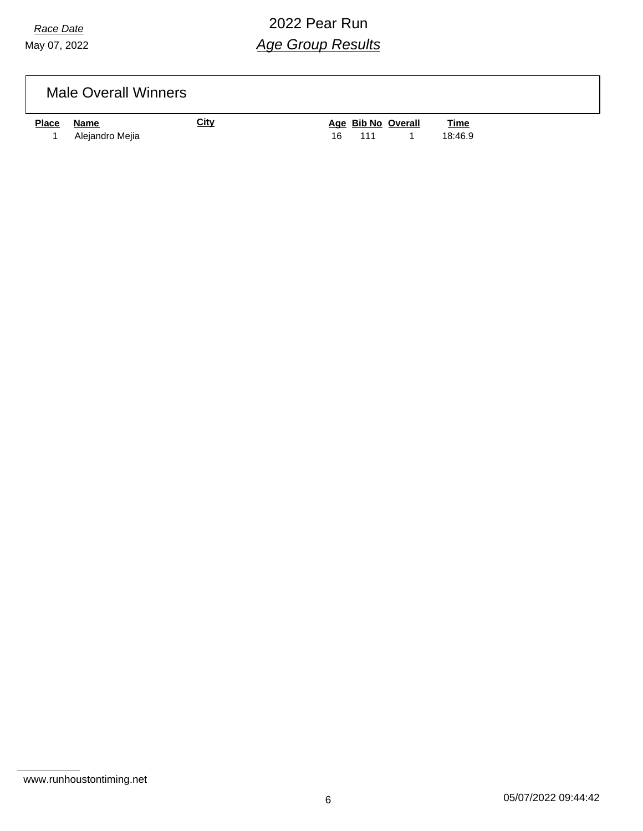# *Race Date* 2022 Pear Run *Age Group Results*

Male Overall Winners

**Place Name City Age Bib No Overall Time** 1 Alejandro Mejia 16 111 18:46.9

www.runhoustontiming.net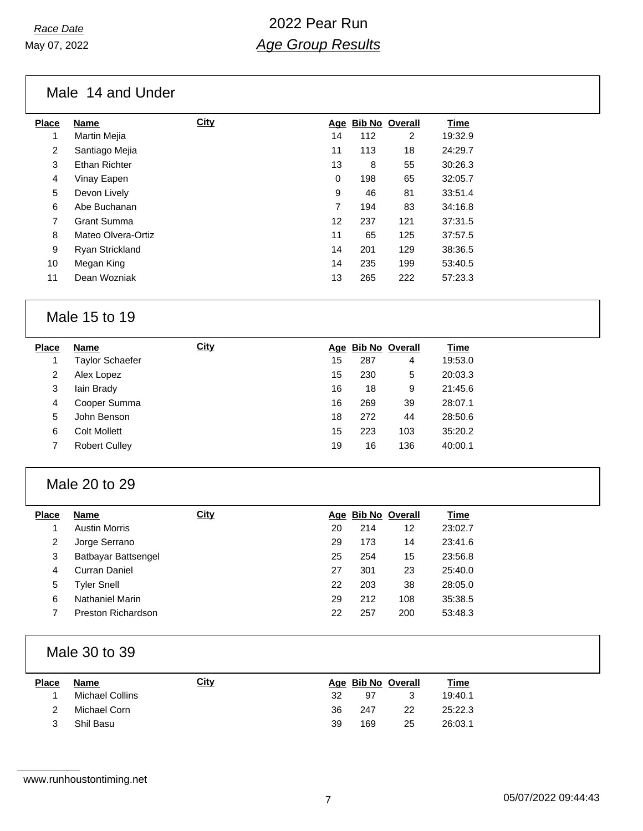Male 14 and Under

| <b>Place</b>   | Name                   | <b>City</b> |    | Age Bib No Overall |     | Time    |
|----------------|------------------------|-------------|----|--------------------|-----|---------|
| 1              | <b>Martin Mejia</b>    |             | 14 | 112                | 2   | 19:32.9 |
| $\overline{2}$ | Santiago Mejia         |             | 11 | 113                | 18  | 24:29.7 |
| 3              | Ethan Richter          |             | 13 | 8                  | 55  | 30:26.3 |
| 4              | Vinay Eapen            |             | 0  | 198                | 65  | 32:05.7 |
| 5              | Devon Lively           |             | 9  | 46                 | 81  | 33:51.4 |
| 6              | Abe Buchanan           |             | 7  | 194                | 83  | 34:16.8 |
| 7              | <b>Grant Summa</b>     |             | 12 | 237                | 121 | 37:31.5 |
| 8              | Mateo Olvera-Ortiz     |             | 11 | 65                 | 125 | 37:57.5 |
| 9              | <b>Ryan Strickland</b> |             | 14 | 201                | 129 | 38:36.5 |
| 10             | Megan King             |             | 14 | 235                | 199 | 53:40.5 |
| 11             | Dean Wozniak           |             | 13 | 265                | 222 | 57:23.3 |
|                |                        |             |    |                    |     |         |

### Male 15 to 19

| <b>Place</b> | Name                   | City |    |     | Age Bib No Overall | <b>Time</b> |
|--------------|------------------------|------|----|-----|--------------------|-------------|
|              | <b>Taylor Schaefer</b> |      | 15 | 287 | 4                  | 19:53.0     |
| 2            | Alex Lopez             |      | 15 | 230 | 5                  | 20:03.3     |
| 3            | lain Brady             |      | 16 | 18  | 9                  | 21:45.6     |
| 4            | Cooper Summa           |      | 16 | 269 | 39                 | 28:07.1     |
| 5            | John Benson            |      | 18 | 272 | 44                 | 28:50.6     |
| 6            | <b>Colt Mollett</b>    |      | 15 | 223 | 103                | 35:20.2     |
|              | <b>Robert Culley</b>   |      | 19 | 16  | 136                | 40:00.1     |
|              |                        |      |    |     |                    |             |

#### Male 20 to 29

| <b>Place</b> | Name                 | City |    |     | Age Bib No Overall | Time    |
|--------------|----------------------|------|----|-----|--------------------|---------|
|              | <b>Austin Morris</b> |      | 20 | 214 | 12                 | 23:02.7 |
| 2            | Jorge Serrano        |      | 29 | 173 | 14                 | 23:41.6 |
| 3            | Batbayar Battsengel  |      | 25 | 254 | 15                 | 23:56.8 |
| 4            | Curran Daniel        |      | 27 | 301 | 23                 | 25:40.0 |
| 5            | Tyler Snell          |      | 22 | 203 | 38                 | 28:05.0 |
| 6            | Nathaniel Marin      |      | 29 | 212 | 108                | 35:38.5 |
|              | Preston Richardson   |      | 22 | 257 | 200                | 53:48.3 |

#### Male 30 to 39

| <b>Place</b> | Name            | City |    |     | Age Bib No Overall | <b>Time</b> |
|--------------|-----------------|------|----|-----|--------------------|-------------|
|              | Michael Collins |      | 32 | 97  | -3                 | 19:40.1     |
|              | Michael Corn    |      | 36 | 247 | 22                 | 25:22.3     |
| 3            | Shil Basu       |      | 39 | 169 | 25                 | 26:03.1     |

www.runhoustontiming.net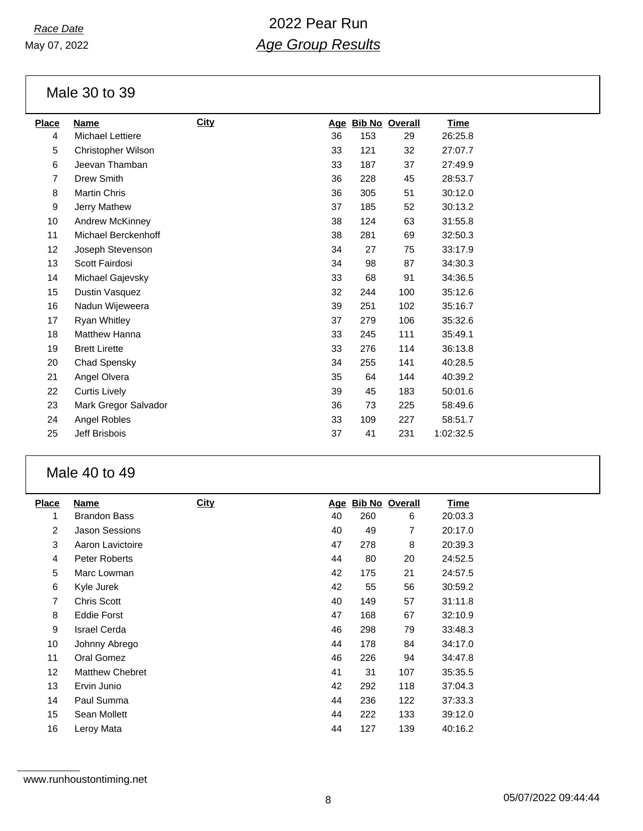May 07, 2022

Male 30 to 39

| <b>Place</b> | <b>Name</b>             | <b>City</b> |    |     | Age Bib No Overall | <b>Time</b> |
|--------------|-------------------------|-------------|----|-----|--------------------|-------------|
| 4            | <b>Michael Lettiere</b> |             | 36 | 153 | 29                 | 26:25.8     |
| 5            | Christopher Wilson      |             | 33 | 121 | 32                 | 27:07.7     |
| 6            | Jeevan Thamban          |             | 33 | 187 | 37                 | 27:49.9     |
| 7            | Drew Smith              |             | 36 | 228 | 45                 | 28:53.7     |
| 8            | Martin Chris            |             | 36 | 305 | 51                 | 30:12.0     |
| 9            | Jerry Mathew            |             | 37 | 185 | 52                 | 30:13.2     |
| 10           | Andrew McKinney         |             | 38 | 124 | 63                 | 31:55.8     |
| 11           | Michael Berckenhoff     |             | 38 | 281 | 69                 | 32:50.3     |
| 12           | Joseph Stevenson        |             | 34 | 27  | 75                 | 33:17.9     |
| 13           | Scott Fairdosi          |             | 34 | 98  | 87                 | 34:30.3     |
| 14           | Michael Gajevsky        |             | 33 | 68  | 91                 | 34:36.5     |
| 15           | Dustin Vasquez          |             | 32 | 244 | 100                | 35:12.6     |
| 16           | Nadun Wijeweera         |             | 39 | 251 | 102                | 35:16.7     |
| 17           | Ryan Whitley            |             | 37 | 279 | 106                | 35:32.6     |
| 18           | Matthew Hanna           |             | 33 | 245 | 111                | 35:49.1     |
| 19           | <b>Brett Lirette</b>    |             | 33 | 276 | 114                | 36:13.8     |
| 20           | Chad Spensky            |             | 34 | 255 | 141                | 40:28.5     |
| 21           | Angel Olvera            |             | 35 | 64  | 144                | 40:39.2     |
| 22           | <b>Curtis Lively</b>    |             | 39 | 45  | 183                | 50:01.6     |
| 23           | Mark Gregor Salvador    |             | 36 | 73  | 225                | 58:49.6     |
| 24           | Angel Robles            |             | 33 | 109 | 227                | 58:51.7     |
| 25           | Jeff Brisbois           |             | 37 | 41  | 231                | 1:02:32.5   |
|              |                         |             |    |     |                    |             |

### Male 40 to 49

| <b>Place</b>      | Name                   | <b>City</b> |    |     | Age Bib No Overall | <u>Time</u> |
|-------------------|------------------------|-------------|----|-----|--------------------|-------------|
| 1                 | <b>Brandon Bass</b>    |             | 40 | 260 | 6                  | 20:03.3     |
| $\overline{2}$    | <b>Jason Sessions</b>  |             | 40 | 49  | 7                  | 20:17.0     |
| 3                 | Aaron Lavictoire       |             | 47 | 278 | 8                  | 20:39.3     |
| $\overline{4}$    | Peter Roberts          |             | 44 | 80  | 20                 | 24:52.5     |
| 5                 | Marc Lowman            |             | 42 | 175 | 21                 | 24:57.5     |
| 6                 | Kyle Jurek             |             | 42 | 55  | 56                 | 30:59.2     |
| $\overline{7}$    | <b>Chris Scott</b>     |             | 40 | 149 | 57                 | 31:11.8     |
| 8                 | <b>Eddie Forst</b>     |             | 47 | 168 | 67                 | 32:10.9     |
| 9                 | <b>Israel Cerda</b>    |             | 46 | 298 | 79                 | 33:48.3     |
| 10                | Johnny Abrego          |             | 44 | 178 | 84                 | 34:17.0     |
| 11                | Oral Gomez             |             | 46 | 226 | 94                 | 34:47.8     |
| $12 \overline{ }$ | <b>Matthew Chebret</b> |             | 41 | 31  | 107                | 35:35.5     |
| 13                | Ervin Junio            |             | 42 | 292 | 118                | 37:04.3     |
| 14                | Paul Summa             |             | 44 | 236 | 122                | 37:33.3     |
| 15                | Sean Mollett           |             | 44 | 222 | 133                | 39:12.0     |
| 16                | Leroy Mata             |             | 44 | 127 | 139                | 40:16.2     |